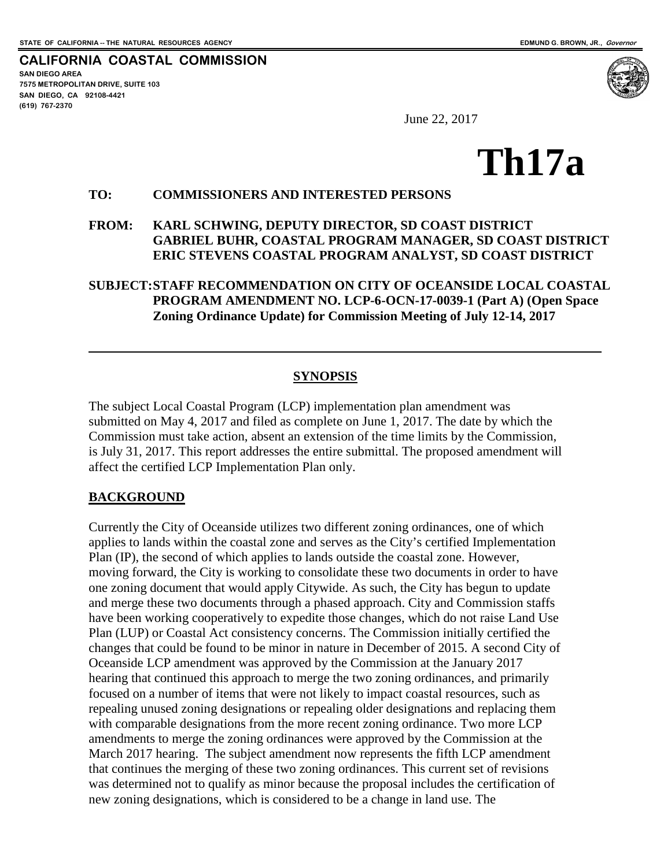**CALIFORNIA COASTAL COMMISSION SAN DIEGO AREA 7575 METROPOLITAN DRIVE, SUITE 103 SAN DIEGO, CA 92108-4421 (619) 767-2370**



June 22, 2017

# **Th17a**

#### **TO: COMMISSIONERS AND INTERESTED PERSONS**

#### **FROM: KARL SCHWING, DEPUTY DIRECTOR, SD COAST DISTRICT GABRIEL BUHR, COASTAL PROGRAM MANAGER, SD COAST DISTRICT ERIC STEVENS COASTAL PROGRAM ANALYST, SD COAST DISTRICT**

#### **SUBJECT:STAFF RECOMMENDATION ON CITY OF OCEANSIDE LOCAL COASTAL PROGRAM AMENDMENT NO. LCP-6-OCN-17-0039-1 (Part A) (Open Space Zoning Ordinance Update) for Commission Meeting of July 12-14, 2017**

#### **SYNOPSIS**

The subject Local Coastal Program (LCP) implementation plan amendment was submitted on May 4, 2017 and filed as complete on June 1, 2017. The date by which the Commission must take action, absent an extension of the time limits by the Commission, is July 31, 2017. This report addresses the entire submittal. The proposed amendment will affect the certified LCP Implementation Plan only.

#### **BACKGROUND**

 $\overline{a}$ 

Currently the City of Oceanside utilizes two different zoning ordinances, one of which applies to lands within the coastal zone and serves as the City's certified Implementation Plan (IP), the second of which applies to lands outside the coastal zone. However, moving forward, the City is working to consolidate these two documents in order to have one zoning document that would apply Citywide. As such, the City has begun to update and merge these two documents through a phased approach. City and Commission staffs have been working cooperatively to expedite those changes, which do not raise Land Use Plan (LUP) or Coastal Act consistency concerns. The Commission initially certified the changes that could be found to be minor in nature in December of 2015. A second City of Oceanside LCP amendment was approved by the Commission at the January 2017 hearing that continued this approach to merge the two zoning ordinances, and primarily focused on a number of items that were not likely to impact coastal resources, such as repealing unused zoning designations or repealing older designations and replacing them with comparable designations from the more recent zoning ordinance. Two more LCP amendments to merge the zoning ordinances were approved by the Commission at the March 2017 hearing. The subject amendment now represents the fifth LCP amendment that continues the merging of these two zoning ordinances. This current set of revisions was determined not to qualify as minor because the proposal includes the certification of new zoning designations, which is considered to be a change in land use. The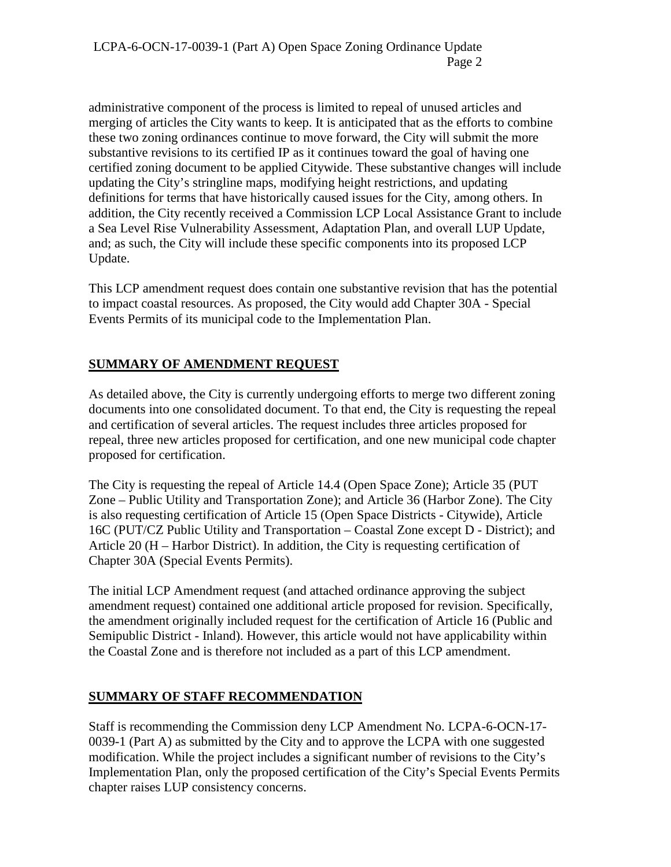administrative component of the process is limited to repeal of unused articles and merging of articles the City wants to keep. It is anticipated that as the efforts to combine these two zoning ordinances continue to move forward, the City will submit the more substantive revisions to its certified IP as it continues toward the goal of having one certified zoning document to be applied Citywide. These substantive changes will include updating the City's stringline maps, modifying height restrictions, and updating definitions for terms that have historically caused issues for the City, among others. In addition, the City recently received a Commission LCP Local Assistance Grant to include a Sea Level Rise Vulnerability Assessment, Adaptation Plan, and overall LUP Update, and; as such, the City will include these specific components into its proposed LCP Update.

This LCP amendment request does contain one substantive revision that has the potential to impact coastal resources. As proposed, the City would add Chapter 30A - Special Events Permits of its municipal code to the Implementation Plan.

## **SUMMARY OF AMENDMENT REQUEST**

As detailed above, the City is currently undergoing efforts to merge two different zoning documents into one consolidated document. To that end, the City is requesting the repeal and certification of several articles. The request includes three articles proposed for repeal, three new articles proposed for certification, and one new municipal code chapter proposed for certification.

The City is requesting the repeal of Article 14.4 (Open Space Zone); Article 35 (PUT Zone – Public Utility and Transportation Zone); and Article 36 (Harbor Zone). The City is also requesting certification of Article 15 (Open Space Districts - Citywide), Article 16C (PUT/CZ Public Utility and Transportation – Coastal Zone except D - District); and Article 20 (H – Harbor District). In addition, the City is requesting certification of Chapter 30A (Special Events Permits).

The initial LCP Amendment request (and attached ordinance approving the subject amendment request) contained one additional article proposed for revision. Specifically, the amendment originally included request for the certification of Article 16 (Public and Semipublic District - Inland). However, this article would not have applicability within the Coastal Zone and is therefore not included as a part of this LCP amendment.

## **SUMMARY OF STAFF RECOMMENDATION**

Staff is recommending the Commission deny LCP Amendment No. LCPA-6-OCN-17- 0039-1 (Part A) as submitted by the City and to approve the LCPA with one suggested modification. While the project includes a significant number of revisions to the City's Implementation Plan, only the proposed certification of the City's Special Events Permits chapter raises LUP consistency concerns.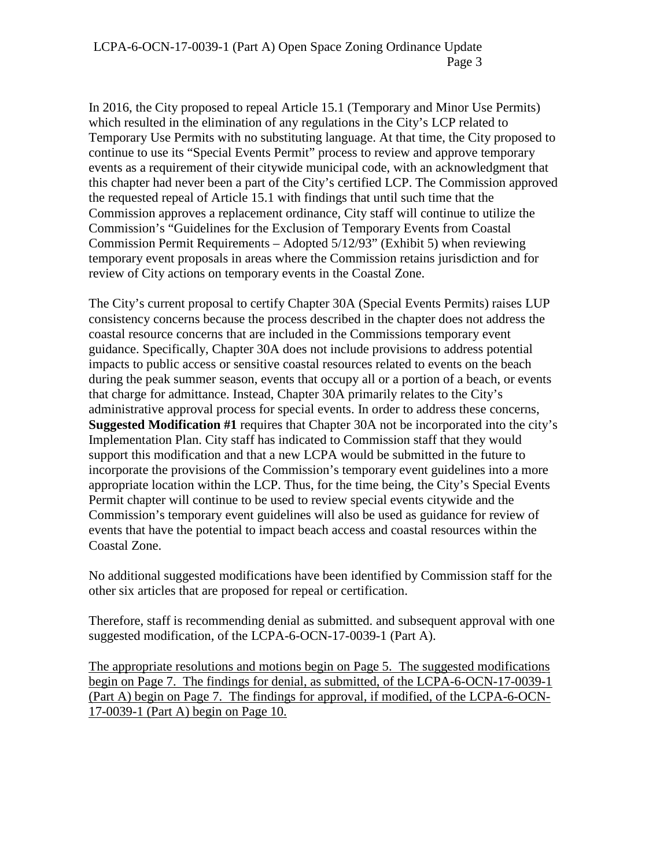In 2016, the City proposed to repeal Article 15.1 (Temporary and Minor Use Permits) which resulted in the elimination of any regulations in the City's LCP related to Temporary Use Permits with no substituting language. At that time, the City proposed to continue to use its "Special Events Permit" process to review and approve temporary events as a requirement of their citywide municipal code, with an acknowledgment that this chapter had never been a part of the City's certified LCP. The Commission approved the requested repeal of Article 15.1 with findings that until such time that the Commission approves a replacement ordinance, City staff will continue to utilize the Commission's "Guidelines for the Exclusion of Temporary Events from Coastal Commission Permit Requirements – Adopted 5/12/93" (Exhibit 5) when reviewing temporary event proposals in areas where the Commission retains jurisdiction and for review of City actions on temporary events in the Coastal Zone.

The City's current proposal to certify Chapter 30A (Special Events Permits) raises LUP consistency concerns because the process described in the chapter does not address the coastal resource concerns that are included in the Commissions temporary event guidance. Specifically, Chapter 30A does not include provisions to address potential impacts to public access or sensitive coastal resources related to events on the beach during the peak summer season, events that occupy all or a portion of a beach, or events that charge for admittance. Instead, Chapter 30A primarily relates to the City's administrative approval process for special events. In order to address these concerns, **Suggested Modification #1** requires that Chapter 30A not be incorporated into the city's Implementation Plan. City staff has indicated to Commission staff that they would support this modification and that a new LCPA would be submitted in the future to incorporate the provisions of the Commission's temporary event guidelines into a more appropriate location within the LCP. Thus, for the time being, the City's Special Events Permit chapter will continue to be used to review special events citywide and the Commission's temporary event guidelines will also be used as guidance for review of events that have the potential to impact beach access and coastal resources within the Coastal Zone.

No additional suggested modifications have been identified by Commission staff for the other six articles that are proposed for repeal or certification.

Therefore, staff is recommending denial as submitted. and subsequent approval with one suggested modification, of the LCPA-6-OCN-17-0039-1 (Part A).

The appropriate resolutions and motions begin on Page 5. The suggested modifications begin on Page 7. The findings for denial, as submitted, of the LCPA-6-OCN-17-0039-1 (Part A) begin on Page 7. The findings for approval, if modified, of the LCPA-6-OCN-17-0039-1 (Part A) begin on Page 10.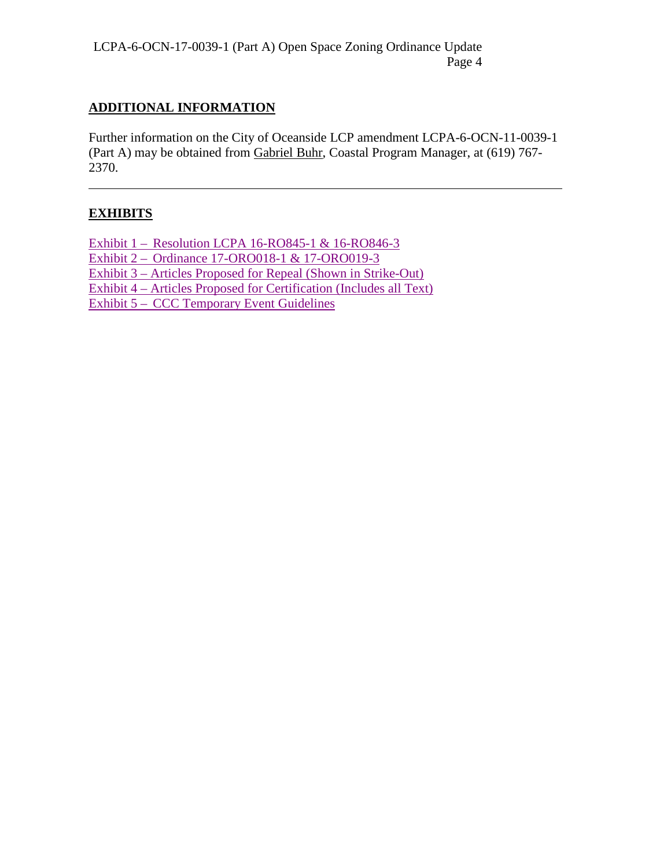## **ADDITIONAL INFORMATION**

Further information on the City of Oceanside LCP amendment LCPA-6-OCN-11-0039-1 (Part A) may be obtained from Gabriel Buhr, Coastal Program Manager, at (619) 767- 2370.

# **EXHIBITS**

 $\overline{a}$ 

[Exhibit 1 – Resolution LCPA 16-RO845-1 & 16-RO846-3](https://documents.coastal.ca.gov/reports/2017/7/Th17a/Th17a-7-2017-exhibits.pdf)  Exhibit 2 – Ordinance 17-ORO018-1 & 17-ORO019-3 [Exhibit 3 – Articles Proposed for Repeal \(Shown in Strike-Out\)](https://documents.coastal.ca.gov/reports/2017/7/Th17a/Th17a-7-2017-exhibits.pdf) [Exhibit 4 – Articles Proposed for Certification \(Includes all Text\)](https://documents.coastal.ca.gov/reports/2017/7/Th17a/Th17a-7-2017-exhibits.pdf)  [Exhibit 5 – CCC Temporary Event Guidelines](https://documents.coastal.ca.gov/reports/2017/7/Th17a/Th17a-7-2017-exhibits.pdf)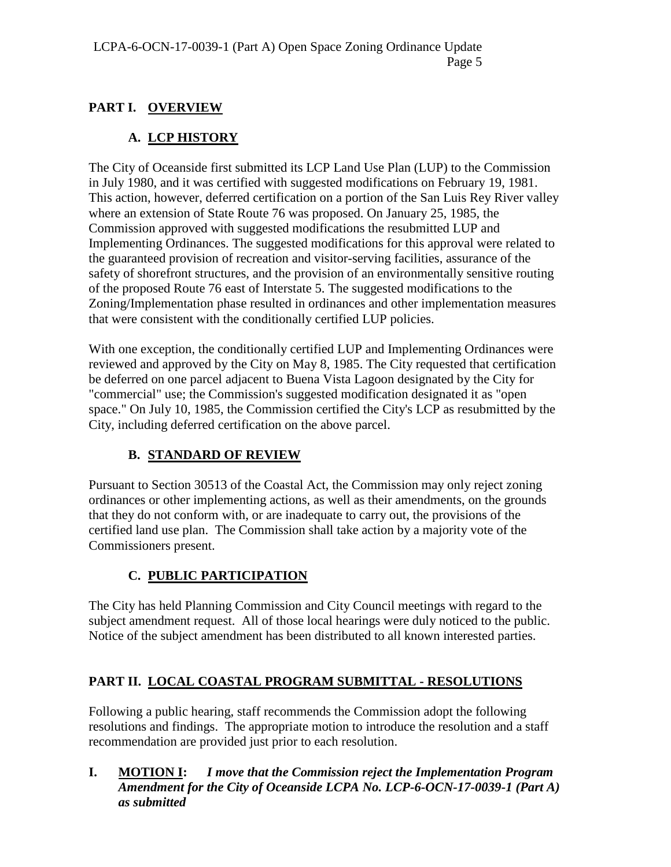## **PART I. OVERVIEW**

# **A. LCP HISTORY**

The City of Oceanside first submitted its LCP Land Use Plan (LUP) to the Commission in July 1980, and it was certified with suggested modifications on February 19, 1981. This action, however, deferred certification on a portion of the San Luis Rey River valley where an extension of State Route 76 was proposed. On January 25, 1985, the Commission approved with suggested modifications the resubmitted LUP and Implementing Ordinances. The suggested modifications for this approval were related to the guaranteed provision of recreation and visitor-serving facilities, assurance of the safety of shorefront structures, and the provision of an environmentally sensitive routing of the proposed Route 76 east of Interstate 5. The suggested modifications to the Zoning/Implementation phase resulted in ordinances and other implementation measures that were consistent with the conditionally certified LUP policies.

With one exception, the conditionally certified LUP and Implementing Ordinances were reviewed and approved by the City on May 8, 1985. The City requested that certification be deferred on one parcel adjacent to Buena Vista Lagoon designated by the City for "commercial" use; the Commission's suggested modification designated it as "open space." On July 10, 1985, the Commission certified the City's LCP as resubmitted by the City, including deferred certification on the above parcel.

## **B. STANDARD OF REVIEW**

Pursuant to Section 30513 of the Coastal Act, the Commission may only reject zoning ordinances or other implementing actions, as well as their amendments, on the grounds that they do not conform with, or are inadequate to carry out, the provisions of the certified land use plan. The Commission shall take action by a majority vote of the Commissioners present.

## **C. PUBLIC PARTICIPATION**

The City has held Planning Commission and City Council meetings with regard to the subject amendment request. All of those local hearings were duly noticed to the public. Notice of the subject amendment has been distributed to all known interested parties.

# **PART II. LOCAL COASTAL PROGRAM SUBMITTAL - RESOLUTIONS**

Following a public hearing, staff recommends the Commission adopt the following resolutions and findings. The appropriate motion to introduce the resolution and a staff recommendation are provided just prior to each resolution.

**I. MOTION I:** *I move that the Commission reject the Implementation Program Amendment for the City of Oceanside LCPA No. LCP-6-OCN-17-0039-1 (Part A) as submitted*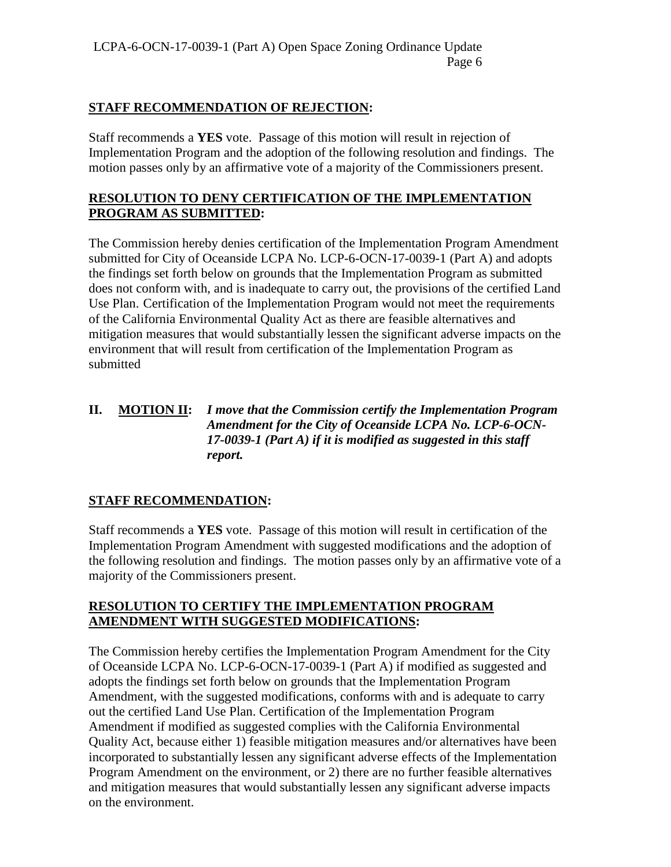#### **STAFF RECOMMENDATION OF REJECTION:**

Staff recommends a **YES** vote. Passage of this motion will result in rejection of Implementation Program and the adoption of the following resolution and findings. The motion passes only by an affirmative vote of a majority of the Commissioners present.

#### **RESOLUTION TO DENY CERTIFICATION OF THE IMPLEMENTATION PROGRAM AS SUBMITTED:**

The Commission hereby denies certification of the Implementation Program Amendment submitted for City of Oceanside LCPA No. LCP-6-OCN-17-0039-1 (Part A) and adopts the findings set forth below on grounds that the Implementation Program as submitted does not conform with, and is inadequate to carry out, the provisions of the certified Land Use Plan. Certification of the Implementation Program would not meet the requirements of the California Environmental Quality Act as there are feasible alternatives and mitigation measures that would substantially lessen the significant adverse impacts on the environment that will result from certification of the Implementation Program as submitted

#### **II. MOTION II:** *I move that the Commission certify the Implementation Program Amendment for the City of Oceanside LCPA No. LCP-6-OCN-17-0039-1 (Part A) if it is modified as suggested in this staff report.*

## **STAFF RECOMMENDATION:**

Staff recommends a **YES** vote. Passage of this motion will result in certification of the Implementation Program Amendment with suggested modifications and the adoption of the following resolution and findings. The motion passes only by an affirmative vote of a majority of the Commissioners present.

#### **RESOLUTION TO CERTIFY THE IMPLEMENTATION PROGRAM AMENDMENT WITH SUGGESTED MODIFICATIONS:**

The Commission hereby certifies the Implementation Program Amendment for the City of Oceanside LCPA No. LCP-6-OCN-17-0039-1 (Part A) if modified as suggested and adopts the findings set forth below on grounds that the Implementation Program Amendment, with the suggested modifications, conforms with and is adequate to carry out the certified Land Use Plan. Certification of the Implementation Program Amendment if modified as suggested complies with the California Environmental Quality Act, because either 1) feasible mitigation measures and/or alternatives have been incorporated to substantially lessen any significant adverse effects of the Implementation Program Amendment on the environment, or 2) there are no further feasible alternatives and mitigation measures that would substantially lessen any significant adverse impacts on the environment.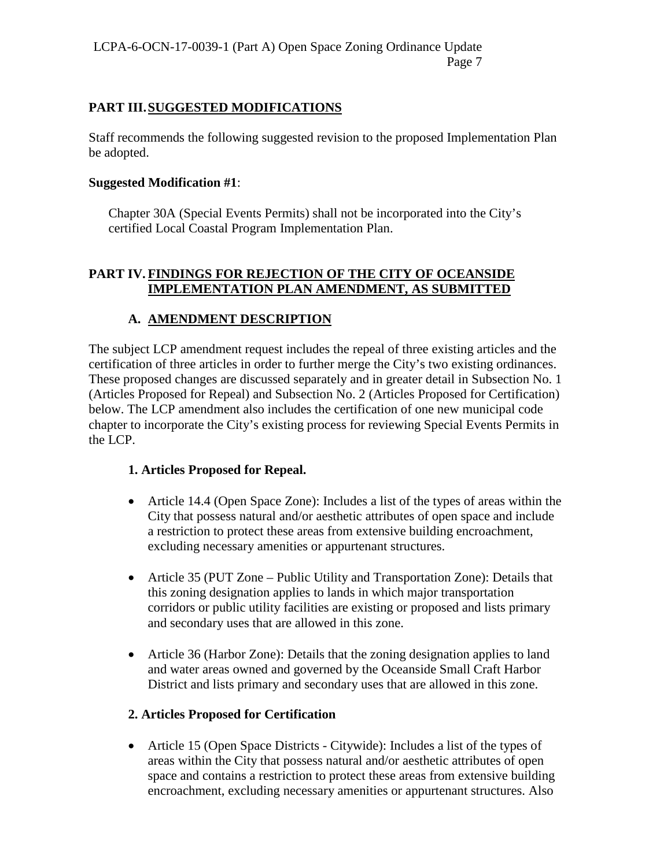#### **PART III.SUGGESTED MODIFICATIONS**

Staff recommends the following suggested revision to the proposed Implementation Plan be adopted.

#### **Suggested Modification #1**:

Chapter 30A (Special Events Permits) shall not be incorporated into the City's certified Local Coastal Program Implementation Plan.

#### **PART IV. FINDINGS FOR REJECTION OF THE CITY OF OCEANSIDE IMPLEMENTATION PLAN AMENDMENT, AS SUBMITTED**

## **A. AMENDMENT DESCRIPTION**

The subject LCP amendment request includes the repeal of three existing articles and the certification of three articles in order to further merge the City's two existing ordinances. These proposed changes are discussed separately and in greater detail in Subsection No. 1 (Articles Proposed for Repeal) and Subsection No. 2 (Articles Proposed for Certification) below. The LCP amendment also includes the certification of one new municipal code chapter to incorporate the City's existing process for reviewing Special Events Permits in the LCP.

#### **1. Articles Proposed for Repeal.**

- Article 14.4 (Open Space Zone): Includes a list of the types of areas within the City that possess natural and/or aesthetic attributes of open space and include a restriction to protect these areas from extensive building encroachment, excluding necessary amenities or appurtenant structures.
- Article 35 (PUT Zone Public Utility and Transportation Zone): Details that this zoning designation applies to lands in which major transportation corridors or public utility facilities are existing or proposed and lists primary and secondary uses that are allowed in this zone.
- Article 36 (Harbor Zone): Details that the zoning designation applies to land and water areas owned and governed by the Oceanside Small Craft Harbor District and lists primary and secondary uses that are allowed in this zone.

#### **2. Articles Proposed for Certification**

• Article 15 (Open Space Districts - Citywide): Includes a list of the types of areas within the City that possess natural and/or aesthetic attributes of open space and contains a restriction to protect these areas from extensive building encroachment, excluding necessary amenities or appurtenant structures. Also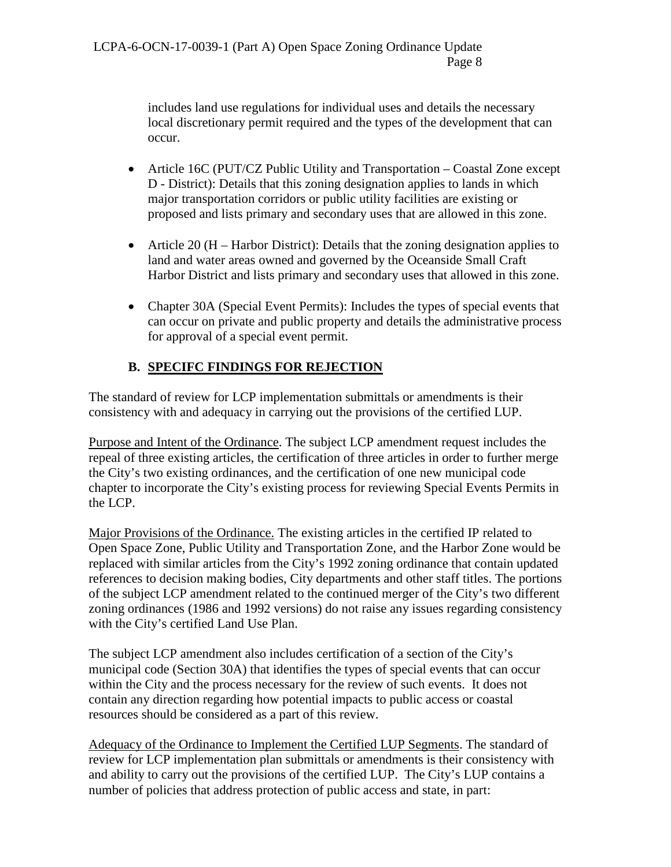includes land use regulations for individual uses and details the necessary local discretionary permit required and the types of the development that can occur.

- Article 16C (PUT/CZ Public Utility and Transportation Coastal Zone except D - District): Details that this zoning designation applies to lands in which major transportation corridors or public utility facilities are existing or proposed and lists primary and secondary uses that are allowed in this zone.
- Article 20 (H Harbor District): Details that the zoning designation applies to land and water areas owned and governed by the Oceanside Small Craft Harbor District and lists primary and secondary uses that allowed in this zone.
- Chapter 30A (Special Event Permits): Includes the types of special events that can occur on private and public property and details the administrative process for approval of a special event permit.

## **B. SPECIFC FINDINGS FOR REJECTION**

The standard of review for LCP implementation submittals or amendments is their consistency with and adequacy in carrying out the provisions of the certified LUP.

Purpose and Intent of the Ordinance. The subject LCP amendment request includes the repeal of three existing articles, the certification of three articles in order to further merge the City's two existing ordinances, and the certification of one new municipal code chapter to incorporate the City's existing process for reviewing Special Events Permits in the LCP.

Major Provisions of the Ordinance. The existing articles in the certified IP related to Open Space Zone, Public Utility and Transportation Zone, and the Harbor Zone would be replaced with similar articles from the City's 1992 zoning ordinance that contain updated references to decision making bodies, City departments and other staff titles. The portions of the subject LCP amendment related to the continued merger of the City's two different zoning ordinances (1986 and 1992 versions) do not raise any issues regarding consistency with the City's certified Land Use Plan.

The subject LCP amendment also includes certification of a section of the City's municipal code (Section 30A) that identifies the types of special events that can occur within the City and the process necessary for the review of such events. It does not contain any direction regarding how potential impacts to public access or coastal resources should be considered as a part of this review.

Adequacy of the Ordinance to Implement the Certified LUP Segments. The standard of review for LCP implementation plan submittals or amendments is their consistency with and ability to carry out the provisions of the certified LUP. The City's LUP contains a number of policies that address protection of public access and state, in part: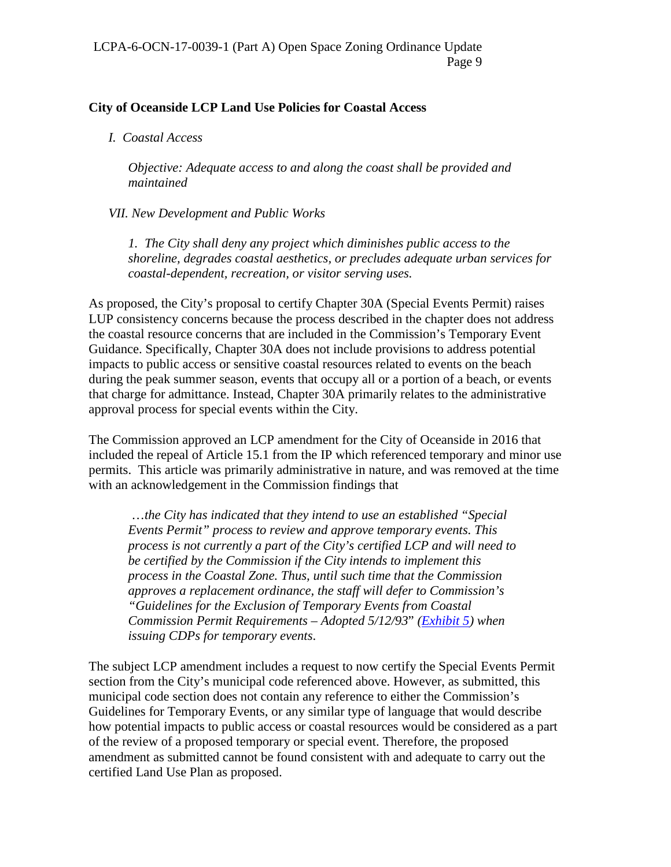#### **City of Oceanside LCP Land Use Policies for Coastal Access**

*I. Coastal Access* 

*Objective: Adequate access to and along the coast shall be provided and maintained* 

*VII. New Development and Public Works* 

*1. The City shall deny any project which diminishes public access to the shoreline, degrades coastal aesthetics, or precludes adequate urban services for coastal-dependent, recreation, or visitor serving uses.*

As proposed, the City's proposal to certify Chapter 30A (Special Events Permit) raises LUP consistency concerns because the process described in the chapter does not address the coastal resource concerns that are included in the Commission's Temporary Event Guidance. Specifically, Chapter 30A does not include provisions to address potential impacts to public access or sensitive coastal resources related to events on the beach during the peak summer season, events that occupy all or a portion of a beach, or events that charge for admittance. Instead, Chapter 30A primarily relates to the administrative approval process for special events within the City.

The Commission approved an LCP amendment for the City of Oceanside in 2016 that included the repeal of Article 15.1 from the IP which referenced temporary and minor use permits. This article was primarily administrative in nature, and was removed at the time with an acknowledgement in the Commission findings that

 …*the City has indicated that they intend to use an established "Special Events Permit" process to review and approve temporary events. This process is not currently a part of the City's certified LCP and will need to be certified by the Commission if the City intends to implement this process in the Coastal Zone. Thus, until such time that the Commission approves a replacement ordinance, the staff will defer to Commission's "Guidelines for the Exclusion of Temporary Events from Coastal Commission Permit Requirements – Adopted 5/12/93*" *[\(Exhibit 5\)](https://documents.coastal.ca.gov/reports/2017/7/Th17a/Th17a-7-2017-exhibits.pdf) when issuing CDPs for temporary events*.

The subject LCP amendment includes a request to now certify the Special Events Permit section from the City's municipal code referenced above. However, as submitted, this municipal code section does not contain any reference to either the Commission's Guidelines for Temporary Events, or any similar type of language that would describe how potential impacts to public access or coastal resources would be considered as a part of the review of a proposed temporary or special event. Therefore, the proposed amendment as submitted cannot be found consistent with and adequate to carry out the certified Land Use Plan as proposed.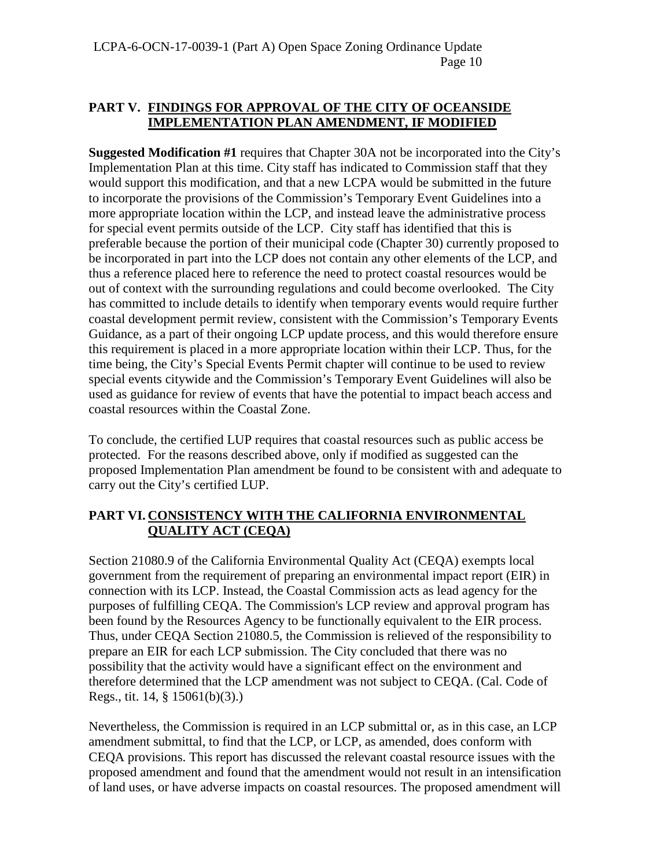#### **PART V. FINDINGS FOR APPROVAL OF THE CITY OF OCEANSIDE IMPLEMENTATION PLAN AMENDMENT, IF MODIFIED**

**Suggested Modification #1** requires that Chapter 30A not be incorporated into the City's Implementation Plan at this time. City staff has indicated to Commission staff that they would support this modification, and that a new LCPA would be submitted in the future to incorporate the provisions of the Commission's Temporary Event Guidelines into a more appropriate location within the LCP, and instead leave the administrative process for special event permits outside of the LCP. City staff has identified that this is preferable because the portion of their municipal code (Chapter 30) currently proposed to be incorporated in part into the LCP does not contain any other elements of the LCP, and thus a reference placed here to reference the need to protect coastal resources would be out of context with the surrounding regulations and could become overlooked. The City has committed to include details to identify when temporary events would require further coastal development permit review, consistent with the Commission's Temporary Events Guidance, as a part of their ongoing LCP update process, and this would therefore ensure this requirement is placed in a more appropriate location within their LCP. Thus, for the time being, the City's Special Events Permit chapter will continue to be used to review special events citywide and the Commission's Temporary Event Guidelines will also be used as guidance for review of events that have the potential to impact beach access and coastal resources within the Coastal Zone.

To conclude, the certified LUP requires that coastal resources such as public access be protected. For the reasons described above, only if modified as suggested can the proposed Implementation Plan amendment be found to be consistent with and adequate to carry out the City's certified LUP.

## **PART VI. CONSISTENCY WITH THE CALIFORNIA ENVIRONMENTAL QUALITY ACT (CEQA)**

Section 21080.9 of the California Environmental Quality Act (CEQA) exempts local government from the requirement of preparing an environmental impact report (EIR) in connection with its LCP. Instead, the Coastal Commission acts as lead agency for the purposes of fulfilling CEQA. The Commission's LCP review and approval program has been found by the Resources Agency to be functionally equivalent to the EIR process. Thus, under CEQA Section 21080.5, the Commission is relieved of the responsibility to prepare an EIR for each LCP submission. The City concluded that there was no possibility that the activity would have a significant effect on the environment and therefore determined that the LCP amendment was not subject to CEQA. (Cal. Code of Regs., tit. 14, § 15061(b)(3).)

Nevertheless, the Commission is required in an LCP submittal or, as in this case, an LCP amendment submittal, to find that the LCP, or LCP, as amended, does conform with CEQA provisions. This report has discussed the relevant coastal resource issues with the proposed amendment and found that the amendment would not result in an intensification of land uses, or have adverse impacts on coastal resources. The proposed amendment will